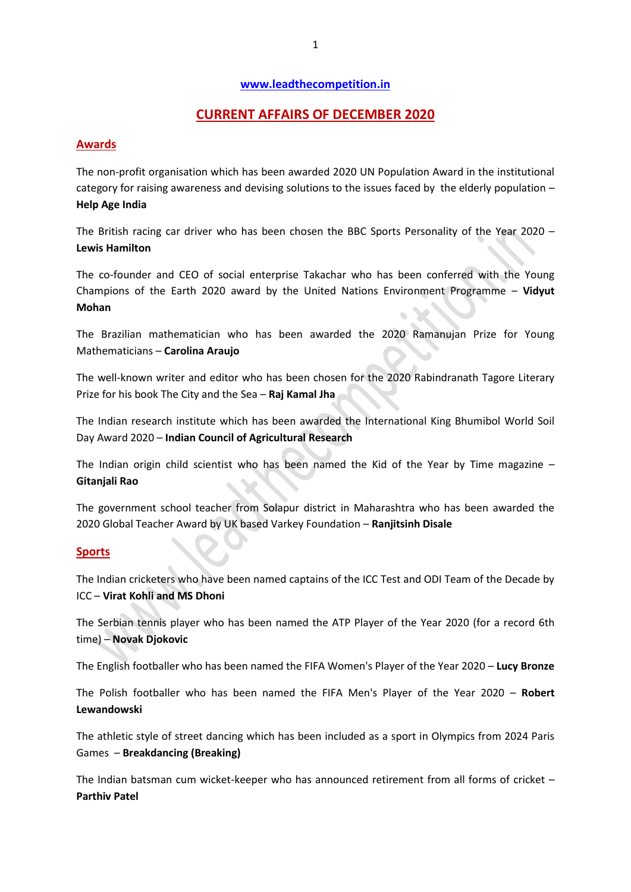#### **[www.leadthecompetition.in](http://www.leadthecompetition.in/)**

## **CURRENT AFFAIRS OF DECEMBER 2020**

#### **Awards**

The non-profit organisation which has been awarded 2020 UN Population Award in the institutional category for raising awareness and devising solutions to the issues faced by the elderly population – **Help Age India**

The British racing car driver who has been chosen the BBC Sports Personality of the Year 2020 – **Lewis Hamilton**

The co-founder and CEO of social enterprise Takachar who has been conferred with the Young Champions of the Earth 2020 award by the United Nations Environment Programme – **Vidyut Mohan**

The Brazilian mathematician who has been awarded the 2020 Ramanujan Prize for Young Mathematicians – **Carolina Araujo**

The well-known writer and editor who has been chosen for the 2020 Rabindranath Tagore Literary Prize for his book The City and the Sea – **Raj Kamal Jha**

The Indian research institute which has been awarded the International King Bhumibol World Soil Day Award 2020 – **Indian Council of Agricultural Research**

The Indian origin child scientist who has been named the Kid of the Year by Time magazine  $-$ **Gitanjali Rao**

The government school teacher from Solapur district in Maharashtra who has been awarded the 2020 Global Teacher Award by UK based Varkey Foundation – **Ranjitsinh Disale**

#### **Sports**

The Indian cricketers who have been named captains of the ICC Test and ODI Team of the Decade by ICC – **Virat Kohli and MS Dhoni**

The Serbian tennis player who has been named the ATP Player of the Year 2020 (for a record 6th time) – **Novak Djokovic**

The English footballer who has been named the FIFA Women's Player of the Year 2020 – **Lucy Bronze**

The Polish footballer who has been named the FIFA Men's Player of the Year 2020 – **Robert Lewandowski**

The athletic style of street dancing which has been included as a sport in Olympics from 2024 Paris Games – **Breakdancing (Breaking)**

The Indian batsman cum wicket-keeper who has announced retirement from all forms of cricket – **Parthiv Patel**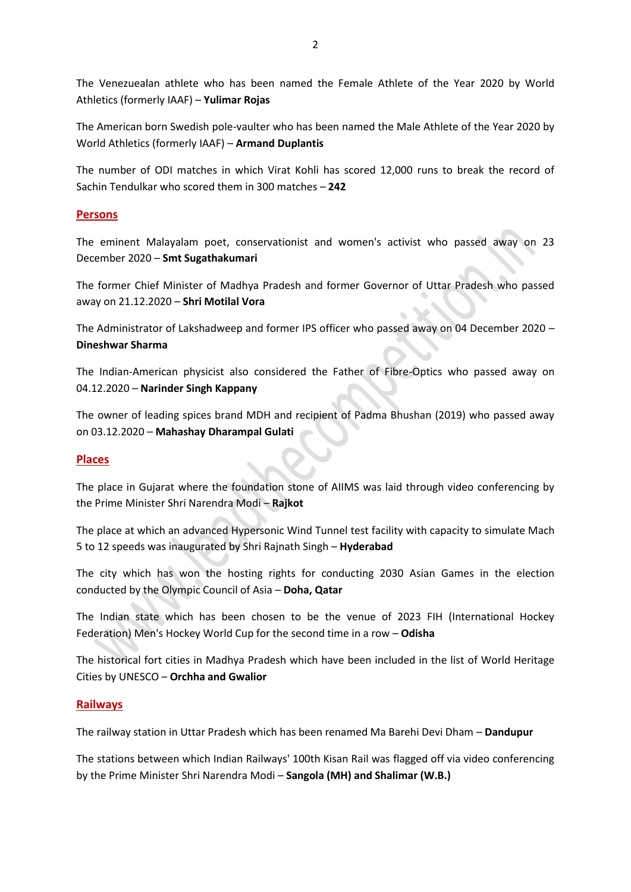The Venezuealan athlete who has been named the Female Athlete of the Year 2020 by World Athletics (formerly IAAF) – **Yulimar Rojas**

The American born Swedish pole-vaulter who has been named the Male Athlete of the Year 2020 by World Athletics (formerly IAAF) – **Armand Duplantis**

The number of ODI matches in which Virat Kohli has scored 12,000 runs to break the record of Sachin Tendulkar who scored them in 300 matches – **242**

## **Persons**

The eminent Malayalam poet, conservationist and women's activist who passed away on 23 December 2020 – **Smt Sugathakumari**

The former Chief Minister of Madhya Pradesh and former Governor of Uttar Pradesh who passed away on 21.12.2020 – **Shri Motilal Vora**

The Administrator of Lakshadweep and former IPS officer who passed away on 04 December 2020 – **Dineshwar Sharma**

The Indian-American physicist also considered the Father of Fibre-Optics who passed away on 04.12.2020 – **Narinder Singh Kappany**

The owner of leading spices brand MDH and recipient of Padma Bhushan (2019) who passed away on 03.12.2020 – **Mahashay Dharampal Gulati**

## **Places**

The place in Gujarat where the foundation stone of AIIMS was laid through video conferencing by the Prime Minister Shri Narendra Modi – **Rajkot**

The place at which an advanced Hypersonic Wind Tunnel test facility with capacity to simulate Mach 5 to 12 speeds was inaugurated by Shri Rajnath Singh – **Hyderabad**

The city which has won the hosting rights for conducting 2030 Asian Games in the election conducted by the Olympic Council of Asia – **Doha, Qatar**

The Indian state which has been chosen to be the venue of 2023 FIH (International Hockey Federation) Men's Hockey World Cup for the second time in a row – **Odisha**

The historical fort cities in Madhya Pradesh which have been included in the list of World Heritage Cities by UNESCO – **Orchha and Gwalior**

## **Railways**

The railway station in Uttar Pradesh which has been renamed Ma Barehi Devi Dham – **Dandupur**

The stations between which Indian Railways' 100th Kisan Rail was flagged off via video conferencing by the Prime Minister Shri Narendra Modi – **Sangola (MH) and Shalimar (W.B.)**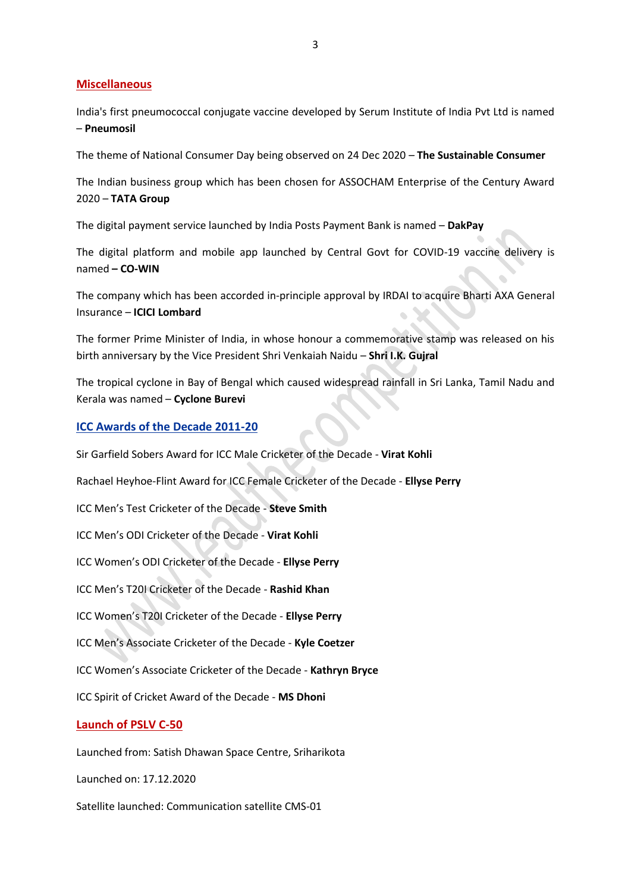#### **Miscellaneous**

India's first pneumococcal conjugate vaccine developed by Serum Institute of India Pvt Ltd is named – **Pneumosil**

The theme of National Consumer Day being observed on 24 Dec 2020 – **The Sustainable Consumer**

The Indian business group which has been chosen for ASSOCHAM Enterprise of the Century Award 2020 – **TATA Group**

The digital payment service launched by India Posts Payment Bank is named – **DakPay**

The digital platform and mobile app launched by Central Govt for COVID-19 vaccine delivery is named **– CO-WIN**

The company which has been accorded in-principle approval by IRDAI to acquire Bharti AXA General Insurance – **ICICI Lombard**

The former Prime Minister of India, in whose honour a commemorative stamp was released on his birth anniversary by the Vice President Shri Venkaiah Naidu – **Shri I.K. Gujral**

The tropical cyclone in Bay of Bengal which caused widespread rainfall in Sri Lanka, Tamil Nadu and Kerala was named – **Cyclone Burevi**

## **ICC Awards of the Decade 2011-20**

Sir Garfield Sobers Award for ICC Male Cricketer of the Decade - **Virat Kohli**

Rachael Heyhoe-Flint Award for ICC Female Cricketer of the Decade - **Ellyse Perry**

ICC Men's Test Cricketer of the Decade - **Steve Smith**

ICC Men's ODI Cricketer of the Decade - **Virat Kohli**

ICC Women's ODI Cricketer of the Decade - **Ellyse Perry**

ICC Men's T20I Cricketer of the Decade - **Rashid Khan**

ICC Women's T20I Cricketer of the Decade - **Ellyse Perry**

ICC Men's Associate Cricketer of the Decade - **Kyle Coetzer**

ICC Women's Associate Cricketer of the Decade - **Kathryn Bryce**

ICC Spirit of Cricket Award of the Decade - **MS Dhoni**

#### **Launch of PSLV C-50**

Launched from: Satish Dhawan Space Centre, Sriharikota

Launched on: 17.12.2020

Satellite launched: Communication satellite CMS-01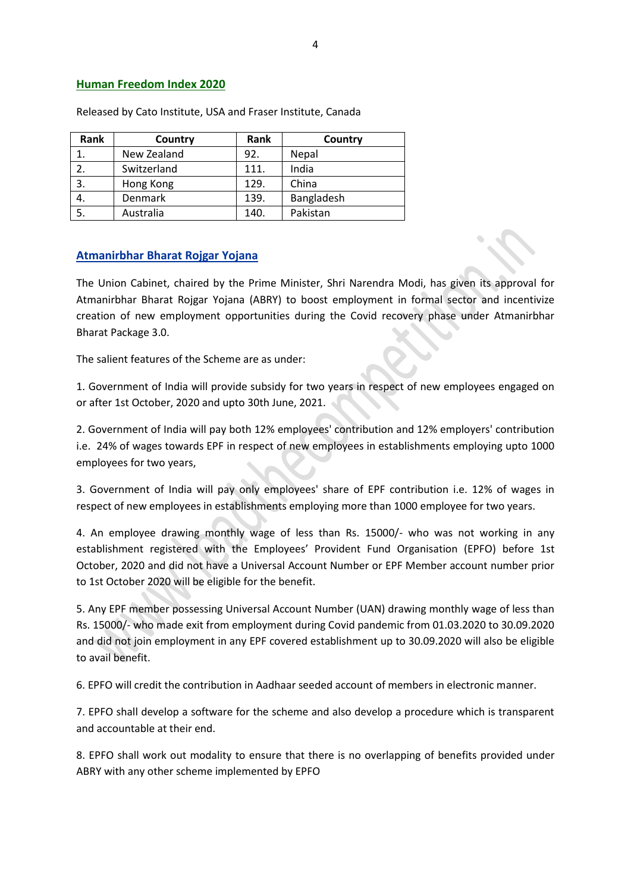#### **Human Freedom Index 2020**

| Rank | Country     | Rank | Country    |
|------|-------------|------|------------|
|      | New Zealand | 92.  | Nepal      |
|      | Switzerland | 111. | India      |
| 3.   | Hong Kong   | 129. | China      |
| 4.   | Denmark     | 139. | Bangladesh |
|      | Australia   | 140. | Pakistan   |

Released by Cato Institute, USA and Fraser Institute, Canada

#### **Atmanirbhar Bharat Rojgar Yojana**

The Union Cabinet, chaired by the Prime Minister, Shri Narendra Modi, has given its approval for Atmanirbhar Bharat Rojgar Yojana (ABRY) to boost employment in formal sector and incentivize creation of new employment opportunities during the Covid recovery phase under Atmanirbhar Bharat Package 3.0.

The salient features of the Scheme are as under:

1. Government of India will provide subsidy for two years in respect of new employees engaged on or after 1st October, 2020 and upto 30th June, 2021.

2. Government of India will pay both 12% employees' contribution and 12% employers' contribution i.e. 24% of wages towards EPF in respect of new employees in establishments employing upto 1000 employees for two years,

3. Government of India will pay only employees' share of EPF contribution i.e. 12% of wages in respect of new employees in establishments employing more than 1000 employee for two years.

4. An employee drawing monthly wage of less than Rs. 15000/- who was not working in any establishment registered with the Employees' Provident Fund Organisation (EPFO) before 1st October, 2020 and did not have a Universal Account Number or EPF Member account number prior to 1st October 2020 will be eligible for the benefit.

5. Any EPF member possessing Universal Account Number (UAN) drawing monthly wage of less than Rs. 15000/- who made exit from employment during Covid pandemic from 01.03.2020 to 30.09.2020 and did not join employment in any EPF covered establishment up to 30.09.2020 will also be eligible to avail benefit.

6. EPFO will credit the contribution in Aadhaar seeded account of members in electronic manner.

7. EPFO shall develop a software for the scheme and also develop a procedure which is transparent and accountable at their end.

8. EPFO shall work out modality to ensure that there is no overlapping of benefits provided under ABRY with any other scheme implemented by EPFO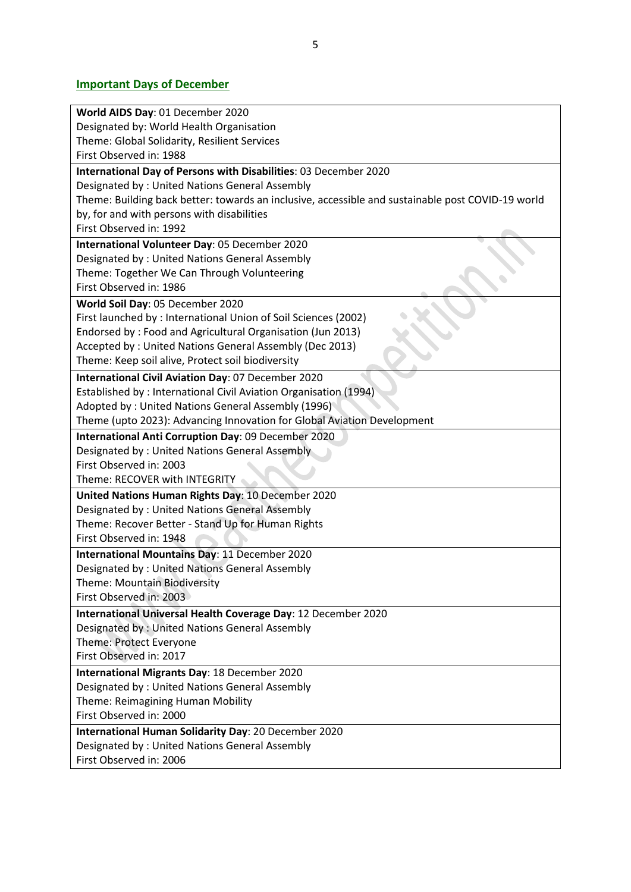# **Important Days of December**

| World AIDS Day: 01 December 2020                                                                  |  |  |
|---------------------------------------------------------------------------------------------------|--|--|
| Designated by: World Health Organisation                                                          |  |  |
| Theme: Global Solidarity, Resilient Services                                                      |  |  |
| First Observed in: 1988                                                                           |  |  |
| International Day of Persons with Disabilities: 03 December 2020                                  |  |  |
| Designated by: United Nations General Assembly                                                    |  |  |
| Theme: Building back better: towards an inclusive, accessible and sustainable post COVID-19 world |  |  |
| by, for and with persons with disabilities                                                        |  |  |
| First Observed in: 1992                                                                           |  |  |
| International Volunteer Day: 05 December 2020                                                     |  |  |
| Designated by: United Nations General Assembly                                                    |  |  |
| Theme: Together We Can Through Volunteering                                                       |  |  |
| First Observed in: 1986                                                                           |  |  |
| World Soil Day: 05 December 2020                                                                  |  |  |
| First launched by: International Union of Soil Sciences (2002)                                    |  |  |
| Endorsed by: Food and Agricultural Organisation (Jun 2013)                                        |  |  |
| Accepted by: United Nations General Assembly (Dec 2013)                                           |  |  |
| Theme: Keep soil alive, Protect soil biodiversity                                                 |  |  |
| International Civil Aviation Day: 07 December 2020                                                |  |  |
| Established by: International Civil Aviation Organisation (1994)                                  |  |  |
| Adopted by: United Nations General Assembly (1996)                                                |  |  |
| Theme (upto 2023): Advancing Innovation for Global Aviation Development                           |  |  |
| International Anti Corruption Day: 09 December 2020                                               |  |  |
| Designated by: United Nations General Assembly                                                    |  |  |
| First Observed in: 2003                                                                           |  |  |
| Theme: RECOVER with INTEGRITY                                                                     |  |  |
| United Nations Human Rights Day: 10 December 2020                                                 |  |  |
| Designated by: United Nations General Assembly                                                    |  |  |
| Theme: Recover Better - Stand Up for Human Rights                                                 |  |  |
| First Observed in: 1948                                                                           |  |  |
| International Mountains Day: 11 December 2020                                                     |  |  |
| Designated by: United Nations General Assembly                                                    |  |  |
| Theme: Mountain Biodiversity                                                                      |  |  |
| First Observed in: 2003                                                                           |  |  |
| International Universal Health Coverage Day: 12 December 2020                                     |  |  |
| Designated by: United Nations General Assembly                                                    |  |  |
| Theme: Protect Everyone                                                                           |  |  |
| First Observed in: 2017                                                                           |  |  |
| International Migrants Day: 18 December 2020                                                      |  |  |
| Designated by: United Nations General Assembly                                                    |  |  |
| Theme: Reimagining Human Mobility                                                                 |  |  |
| First Observed in: 2000                                                                           |  |  |
| International Human Solidarity Day: 20 December 2020                                              |  |  |
| Designated by: United Nations General Assembly                                                    |  |  |
| First Observed in: 2006                                                                           |  |  |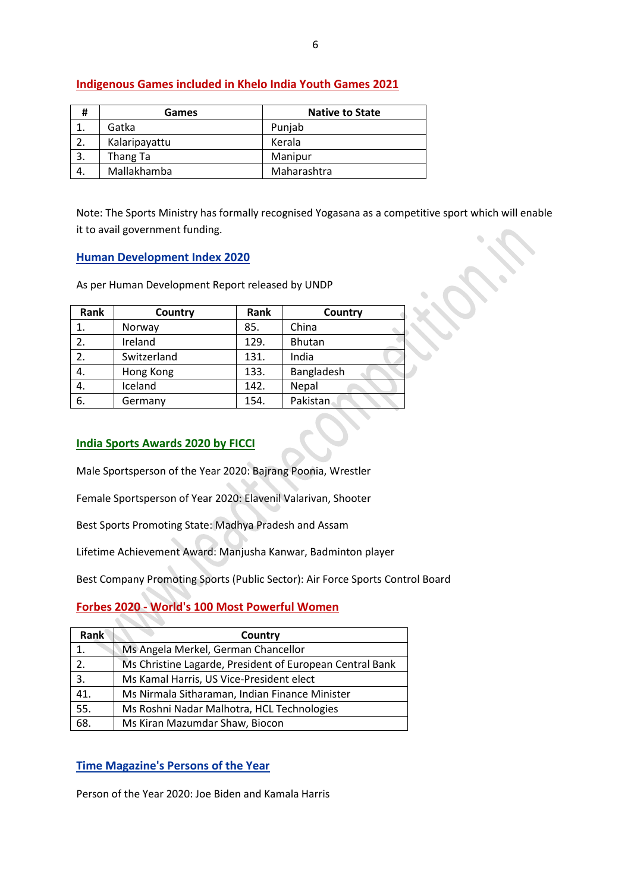| #  | Games         | <b>Native to State</b> |
|----|---------------|------------------------|
|    | Gatka         | Punjab                 |
|    | Kalaripayattu | Kerala                 |
| 3. | Thang Ta      | Manipur                |
| 4. | Mallakhamba   | Maharashtra            |

## **Indigenous Games included in Khelo India Youth Games 2021**

Note: The Sports Ministry has formally recognised Yogasana as a competitive sport which will enable it to avail government funding.

#### **Human Development Index 2020**

As per Human Development Report released by UNDP

| Rank | Country     | Rank | Country    |
|------|-------------|------|------------|
| 1.   | Norway      | 85.  | China      |
| 2.   | Ireland     | 129. | Bhutan     |
| 2.   | Switzerland | 131. | India      |
| 4.   | Hong Kong   | 133. | Bangladesh |
| 4.   | Iceland     | 142. | Nepal      |
| 6.   | Germany     | 154. | Pakistan   |

#### **India Sports Awards 2020 by FICCI**

Male Sportsperson of the Year 2020: Bajrang Poonia, Wrestler

Female Sportsperson of Year 2020: Elavenil Valarivan, Shooter

Best Sports Promoting State: Madhya Pradesh and Assam

Lifetime Achievement Award: Manjusha Kanwar, Badminton player

Best Company Promoting Sports (Public Sector): Air Force Sports Control Board

## **Forbes 2020 - World's 100 Most Powerful Women**

| <b>Rank</b> | Country                                                  |  |
|-------------|----------------------------------------------------------|--|
| 1.          | Ms Angela Merkel, German Chancellor                      |  |
| 2.          | Ms Christine Lagarde, President of European Central Bank |  |
| 3.          | Ms Kamal Harris, US Vice-President elect                 |  |
| 41.         | Ms Nirmala Sitharaman, Indian Finance Minister           |  |
| 55.         | Ms Roshni Nadar Malhotra, HCL Technologies               |  |
| 68.         | Ms Kiran Mazumdar Shaw, Biocon                           |  |

## **Time Magazine's Persons of the Year**

Person of the Year 2020: Joe Biden and Kamala Harris